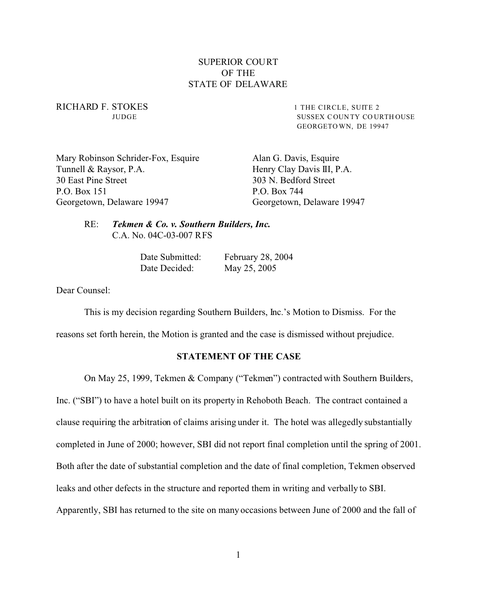# SUPERIOR COURT OF THE STATE OF DELAWARE

RICHARD F. STOKES 1 THE CIRCLE, SUITE 2

JUDGE SUSSEX C OUN TY CO URTH OUSE GEORGETO WN, DE 19947

Mary Robinson Schrider-Fox, Esquire Alan G. Davis, Esquire Tunnell & Raysor, P.A. Henry Clay Davis III, P.A. 30 East Pine Street 303 N. Bedford Street P.O. Box 151 P.O. Box 744 Georgetown, Delaware 19947 Georgetown, Delaware 19947

RE: *Tekmen & Co. v. Southern Builders, Inc.* C.A. No. 04C-03-007 RFS

> Date Submitted: February 28, 2004 Date Decided: May 25, 2005

Dear Counsel:

This is my decision regarding Southern Builders, Inc.'s Motion to Dismiss. For the

reasons set forth herein, the Motion is granted and the case is dismissed without prejudice.

## **STATEMENT OF THE CASE**

On May 25, 1999, Tekmen & Company ("Tekmen") contracted with Southern Builders,

Inc. ("SBI") to have a hotel built on its property in Rehoboth Beach. The contract contained a

clause requiring the arbitration of claims arising under it. The hotel was allegedly substantially

completed in June of 2000; however, SBI did not report final completion until the spring of 2001.

Both after the date of substantial completion and the date of final completion, Tekmen observed

leaks and other defects in the structure and reported them in writing and verbally to SBI.

Apparently, SBI has returned to the site on many occasions between June of 2000 and the fall of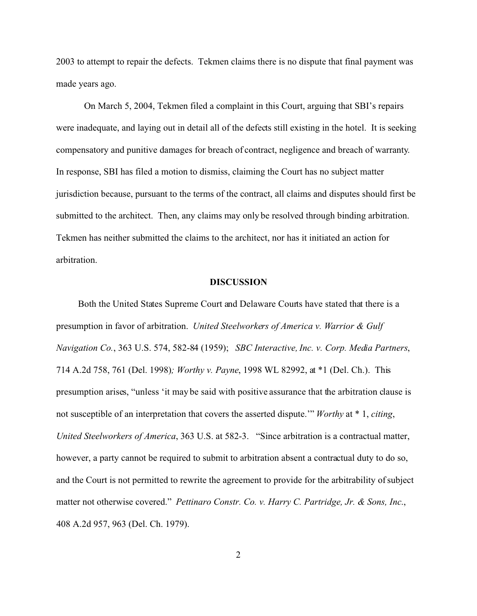2003 to attempt to repair the defects. Tekmen claims there is no dispute that final payment was made years ago.

On March 5, 2004, Tekmen filed a complaint in this Court, arguing that SBI's repairs were inadequate, and laying out in detail all of the defects still existing in the hotel. It is seeking compensatory and punitive damages for breach of contract, negligence and breach of warranty. In response, SBI has filed a motion to dismiss, claiming the Court has no subject matter jurisdiction because, pursuant to the terms of the contract, all claims and disputes should first be submitted to the architect. Then, any claims may only be resolved through binding arbitration. Tekmen has neither submitted the claims to the architect, nor has it initiated an action for arbitration.

## **DISCUSSION**

Both the United States Supreme Court and Delaware Courts have stated that there is a presumption in favor of arbitration. *United Steelworkers of America v. Warrior & Gulf Navigation Co.*, 363 U.S. 574, 582-84 (1959); *SBC Interactive, Inc. v. Corp. Media Partners*, 714 A.2d 758, 761 (Del. 1998)*; Worthy v. Payne*, 1998 WL 82992, at \*1 (Del. Ch.). This presumption arises, "unless 'it may be said with positive assurance that the arbitration clause is not susceptible of an interpretation that covers the asserted dispute.'" *Worthy* at \* 1, *citing*, *United Steelworkers of America*, 363 U.S. at 582-3. "Since arbitration is a contractual matter, however, a party cannot be required to submit to arbitration absent a contractual duty to do so, and the Court is not permitted to rewrite the agreement to provide for the arbitrability of subject matter not otherwise covered." *Pettinaro Constr. Co. v. Harry C. Partridge, Jr. & Sons, Inc*., 408 A.2d 957, 963 (Del. Ch. 1979).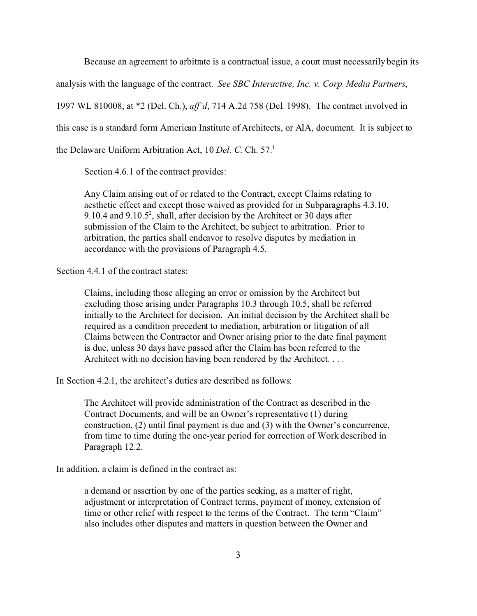Because an agreement to arbitrate is a contractual issue, a court must necessarily begin its

analysis with the language of the contract. *See SBC Interactive, Inc. v. Corp. Media Partners*,

1997 WL 810008, at \*2 (Del. Ch.), *aff'd*, 714 A.2d 758 (Del. 1998). The contract involved in

this case is a standard form American Institute of Architects, or AIA, document. It is subject to

the Delaware Uniform Arbitration Act, 10 *Del. C.* Ch. 57.<sup>1</sup>

Section 4.6.1 of the contract provides:

Any Claim arising out of or related to the Contract, except Claims relating to aesthetic effect and except those waived as provided for in Subparagraphs 4.3.10, 9.10.4 and 9.10.5<sup>2</sup>, shall, after decision by the Architect or 30 days after submission of the Claim to the Architect, be subject to arbitration. Prior to arbitration, the parties shall endeavor to resolve disputes by mediation in accordance with the provisions of Paragraph 4.5.

Section 4.4.1 of the contract states:

Claims, including those alleging an error or omission by the Architect but excluding those arising under Paragraphs 10.3 through 10.5, shall be referred initially to the Architect for decision. An initial decision by the Architect shall be required as a condition precedent to mediation, arbitration or litigation of all Claims between the Contractor and Owner arising prior to the date final payment is due, unless 30 days have passed after the Claim has been referred to the Architect with no decision having been rendered by the Architect. . . .

In Section 4.2.1, the architect's duties are described as follows:

The Architect will provide administration of the Contract as described in the Contract Documents, and will be an Owner's representative (1) during construction, (2) until final payment is due and (3) with the Owner's concurrence, from time to time during the one-year period for correction of Work described in Paragraph 12.2.

In addition, a claim is defined in the contract as:

a demand or assertion by one of the parties seeking, as a matter of right, adjustment or interpretation of Contract terms, payment of money, extension of time or other relief with respect to the terms of the Contract. The term "Claim" also includes other disputes and matters in question between the Owner and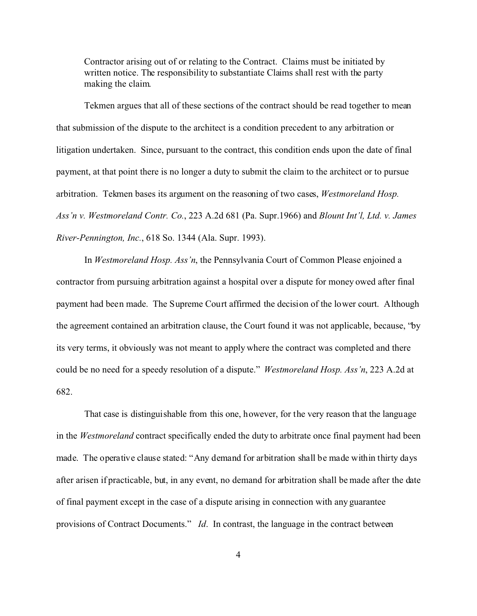Contractor arising out of or relating to the Contract. Claims must be initiated by written notice. The responsibility to substantiate Claims shall rest with the party making the claim.

Tekmen argues that all of these sections of the contract should be read together to mean that submission of the dispute to the architect is a condition precedent to any arbitration or litigation undertaken. Since, pursuant to the contract, this condition ends upon the date of final payment, at that point there is no longer a duty to submit the claim to the architect or to pursue arbitration. Tekmen bases its argument on the reasoning of two cases, *Westmoreland Hosp. Ass'n v. Westmoreland Contr. Co.*, 223 A.2d 681 (Pa. Supr.1966) and *Blount Int'l, Ltd. v. James River-Pennington, Inc.*, 618 So. 1344 (Ala. Supr. 1993).

In *Westmoreland Hosp. Ass'n*, the Pennsylvania Court of Common Please enjoined a contractor from pursuing arbitration against a hospital over a dispute for money owed after final payment had been made. The Supreme Court affirmed the decision of the lower court. Although the agreement contained an arbitration clause, the Court found it was not applicable, because, "by its very terms, it obviously was not meant to apply where the contract was completed and there could be no need for a speedy resolution of a dispute." *Westmoreland Hosp. Ass'n*, 223 A.2d at 682.

That case is distinguishable from this one, however, for the very reason that the language in the *Westmoreland* contract specifically ended the duty to arbitrate once final payment had been made. The operative clause stated: "Any demand for arbitration shall be made within thirty days after arisen if practicable, but, in any event, no demand for arbitration shall be made after the date of final payment except in the case of a dispute arising in connection with any guarantee provisions of Contract Documents." *Id*. In contrast, the language in the contract between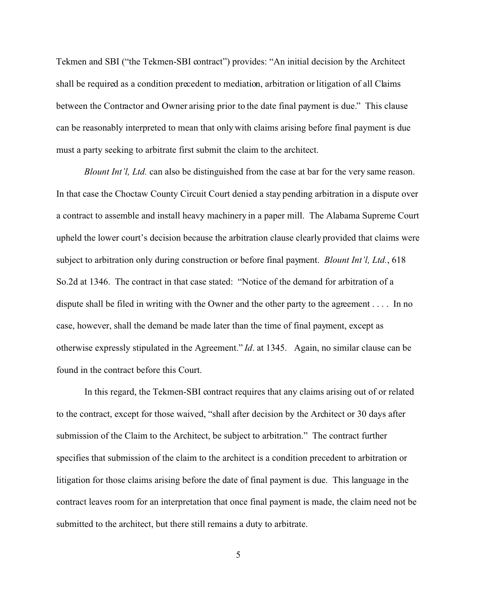Tekmen and SBI ("the Tekmen-SBI contract") provides: "An initial decision by the Architect shall be required as a condition precedent to mediation, arbitration or litigation of all Claims between the Contractor and Owner arising prior to the date final payment is due." This clause can be reasonably interpreted to mean that only with claims arising before final payment is due must a party seeking to arbitrate first submit the claim to the architect.

*Blount Int'l, Ltd.* can also be distinguished from the case at bar for the very same reason. In that case the Choctaw County Circuit Court denied a stay pending arbitration in a dispute over a contract to assemble and install heavy machinery in a paper mill. The Alabama Supreme Court upheld the lower court's decision because the arbitration clause clearly provided that claims were subject to arbitration only during construction or before final payment. *Blount Int'l, Ltd.*, 618 So.2d at 1346. The contract in that case stated: "Notice of the demand for arbitration of a dispute shall be filed in writing with the Owner and the other party to the agreement . . . . In no case, however, shall the demand be made later than the time of final payment, except as otherwise expressly stipulated in the Agreement." *Id*. at 1345. Again, no similar clause can be found in the contract before this Court.

In this regard, the Tekmen-SBI contract requires that any claims arising out of or related to the contract, except for those waived, "shall after decision by the Architect or 30 days after submission of the Claim to the Architect, be subject to arbitration." The contract further specifies that submission of the claim to the architect is a condition precedent to arbitration or litigation for those claims arising before the date of final payment is due. This language in the contract leaves room for an interpretation that once final payment is made, the claim need not be submitted to the architect, but there still remains a duty to arbitrate.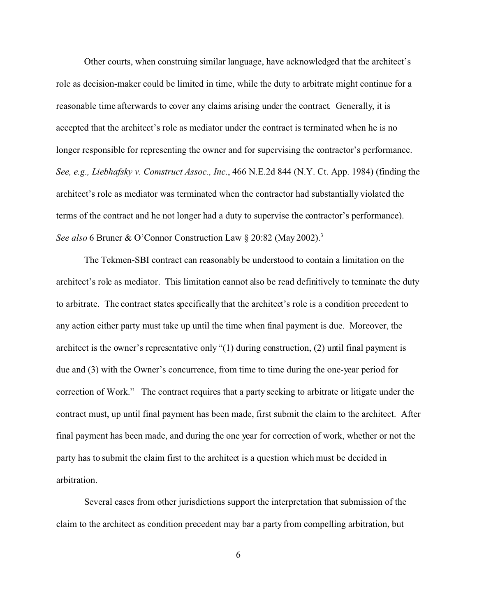Other courts, when construing similar language, have acknowledged that the architect's role as decision-maker could be limited in time, while the duty to arbitrate might continue for a reasonable time afterwards to cover any claims arising under the contract. Generally, it is accepted that the architect's role as mediator under the contract is terminated when he is no longer responsible for representing the owner and for supervising the contractor's performance. *See, e.g., Liebhafsky v. Comstruct Assoc., Inc*., 466 N.E.2d 844 (N.Y. Ct. App. 1984) (finding the architect's role as mediator was terminated when the contractor had substantially violated the terms of the contract and he not longer had a duty to supervise the contractor's performance). *See also* 6 Bruner & O'Connor Construction Law § 20:82 (May 2002).<sup>3</sup>

The Tekmen-SBI contract can reasonably be understood to contain a limitation on the architect's role as mediator. This limitation cannot also be read definitively to terminate the duty to arbitrate. The contract states specifically that the architect's role is a condition precedent to any action either party must take up until the time when final payment is due. Moreover, the architect is the owner's representative only "(1) during construction, (2) until final payment is due and (3) with the Owner's concurrence, from time to time during the one-year period for correction of Work." The contract requires that a party seeking to arbitrate or litigate under the contract must, up until final payment has been made, first submit the claim to the architect. After final payment has been made, and during the one year for correction of work, whether or not the party has to submit the claim first to the architect is a question which must be decided in arbitration.

Several cases from other jurisdictions support the interpretation that submission of the claim to the architect as condition precedent may bar a party from compelling arbitration, but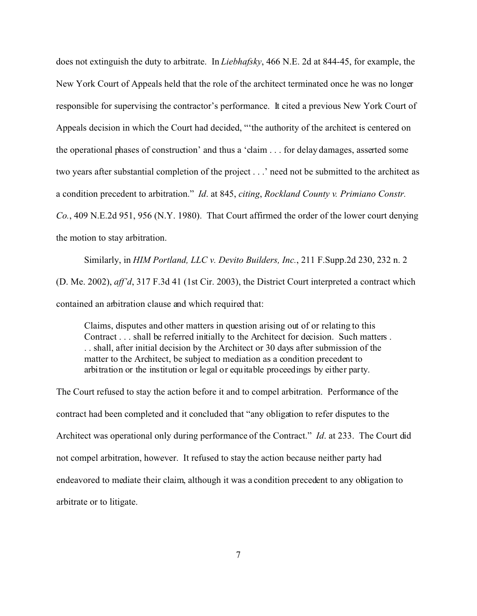does not extinguish the duty to arbitrate. In *Liebhafsky*, 466 N.E. 2d at 844-45, for example, the New York Court of Appeals held that the role of the architect terminated once he was no longer responsible for supervising the contractor's performance. It cited a previous New York Court of Appeals decision in which the Court had decided, "'the authority of the architect is centered on the operational phases of construction' and thus a 'claim . . . for delay damages, asserted some two years after substantial completion of the project . . .' need not be submitted to the architect as a condition precedent to arbitration." *Id*. at 845, *citing*, *Rockland County v. Primiano Constr. Co.*, 409 N.E.2d 951, 956 (N.Y. 1980). That Court affirmed the order of the lower court denying the motion to stay arbitration.

Similarly, in *HIM Portland, LLC v. Devito Builders, Inc.*, 211 F.Supp.2d 230, 232 n. 2 (D. Me. 2002), *aff'd*, 317 F.3d 41 (1st Cir. 2003), the District Court interpreted a contract which contained an arbitration clause and which required that:

Claims, disputes and other matters in question arising out of or relating to this Contract . . . shall be referred initially to the Architect for decision. Such matters . . . shall, after initial decision by the Architect or 30 days after submission of the matter to the Architect, be subject to mediation as a condition precedent to arbitration or the institution or legal or equitable proceedings by either party.

The Court refused to stay the action before it and to compel arbitration. Performance of the contract had been completed and it concluded that "any obligation to refer disputes to the Architect was operational only during performance of the Contract." *Id*. at 233. The Court did not compel arbitration, however. It refused to stay the action because neither party had endeavored to mediate their claim, although it was a condition precedent to any obligation to arbitrate or to litigate.

7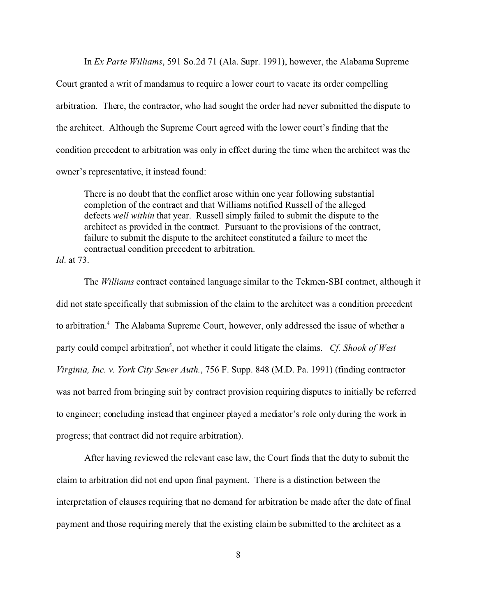In *Ex Parte Williams*, 591 So.2d 71 (Ala. Supr. 1991), however, the Alabama Supreme Court granted a writ of mandamus to require a lower court to vacate its order compelling

arbitration. There, the contractor, who had sought the order had never submitted the dispute to the architect. Although the Supreme Court agreed with the lower court's finding that the condition precedent to arbitration was only in effect during the time when the architect was the owner's representative, it instead found:

There is no doubt that the conflict arose within one year following substantial completion of the contract and that Williams notified Russell of the alleged defects *well within* that year. Russell simply failed to submit the dispute to the architect as provided in the contract. Pursuant to the provisions of the contract, failure to submit the dispute to the architect constituted a failure to meet the contractual condition precedent to arbitration.

*Id*. at 73.

The *Williams* contract contained language similar to the Tekmen-SBI contract, although it did not state specifically that submission of the claim to the architect was a condition precedent to arbitration.<sup>4</sup> The Alabama Supreme Court, however, only addressed the issue of whether a party could compel arbitration<sup>5</sup>, not whether it could litigate the claims. *Cf. Shook of West Virginia, Inc. v. York City Sewer Auth.*, 756 F. Supp. 848 (M.D. Pa. 1991) (finding contractor was not barred from bringing suit by contract provision requiring disputes to initially be referred to engineer; concluding instead that engineer played a mediator's role only during the work in progress; that contract did not require arbitration).

After having reviewed the relevant case law, the Court finds that the duty to submit the claim to arbitration did not end upon final payment. There is a distinction between the interpretation of clauses requiring that no demand for arbitration be made after the date of final payment and those requiring merely that the existing claim be submitted to the architect as a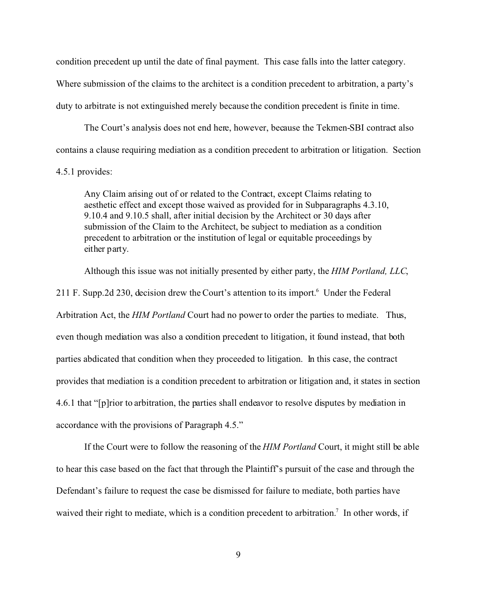condition precedent up until the date of final payment. This case falls into the latter category. Where submission of the claims to the architect is a condition precedent to arbitration, a party's duty to arbitrate is not extinguished merely because the condition precedent is finite in time.

The Court's analysis does not end here, however, because the Tekmen-SBI contract also contains a clause requiring mediation as a condition precedent to arbitration or litigation. Section

## 4.5.1 provides:

Any Claim arising out of or related to the Contract, except Claims relating to aesthetic effect and except those waived as provided for in Subparagraphs 4.3.10, 9.10.4 and 9.10.5 shall, after initial decision by the Architect or 30 days after submission of the Claim to the Architect, be subject to mediation as a condition precedent to arbitration or the institution of legal or equitable proceedings by either party.

Although this issue was not initially presented by either party, the *HIM Portland, LLC*,

211 F. Supp.2d 230, decision drew the Court's attention to its import.<sup>6</sup> Under the Federal Arbitration Act, the *HIM Portland* Court had no power to order the parties to mediate. Thus, even though mediation was also a condition precedent to litigation, it found instead, that both parties abdicated that condition when they proceeded to litigation. In this case, the contract provides that mediation is a condition precedent to arbitration or litigation and, it states in section 4.6.1 that "[p]rior to arbitration, the parties shall endeavor to resolve disputes by mediation in accordance with the provisions of Paragraph 4.5."

If the Court were to follow the reasoning of the *HIM Portland* Court, it might still be able to hear this case based on the fact that through the Plaintiff's pursuit of the case and through the Defendant's failure to request the case be dismissed for failure to mediate, both parties have waived their right to mediate, which is a condition precedent to arbitration.<sup>7</sup> In other words, if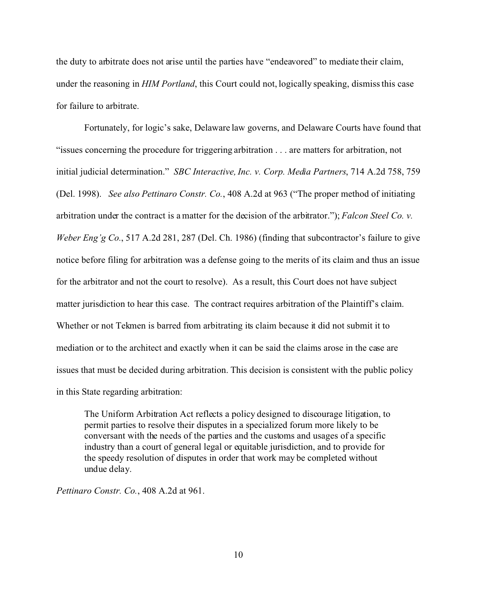the duty to arbitrate does not arise until the parties have "endeavored" to mediate their claim, under the reasoning in *HIM Portland*, this Court could not, logically speaking, dismiss this case for failure to arbitrate.

Fortunately, for logic's sake, Delaware law governs, and Delaware Courts have found that "issues concerning the procedure for triggering arbitration . . . are matters for arbitration, not initial judicial determination." *SBC Interactive, Inc. v. Corp. Media Partners*, 714 A.2d 758, 759 (Del. 1998). *See also Pettinaro Constr. Co.*, 408 A.2d at 963 ("The proper method of initiating arbitration under the contract is a matter for the decision of the arbitrator."); *Falcon Steel Co. v. Weber Eng'g Co.*, 517 A.2d 281, 287 (Del. Ch. 1986) (finding that subcontractor's failure to give notice before filing for arbitration was a defense going to the merits of its claim and thus an issue for the arbitrator and not the court to resolve). As a result, this Court does not have subject matter jurisdiction to hear this case. The contract requires arbitration of the Plaintiff's claim. Whether or not Tekmen is barred from arbitrating its claim because it did not submit it to mediation or to the architect and exactly when it can be said the claims arose in the case are issues that must be decided during arbitration. This decision is consistent with the public policy in this State regarding arbitration:

The Uniform Arbitration Act reflects a policy designed to discourage litigation, to permit parties to resolve their disputes in a specialized forum more likely to be conversant with the needs of the parties and the customs and usages of a specific industry than a court of general legal or equitable jurisdiction, and to provide for the speedy resolution of disputes in order that work may be completed without undue delay.

*Pettinaro Constr. Co.*, 408 A.2d at 961.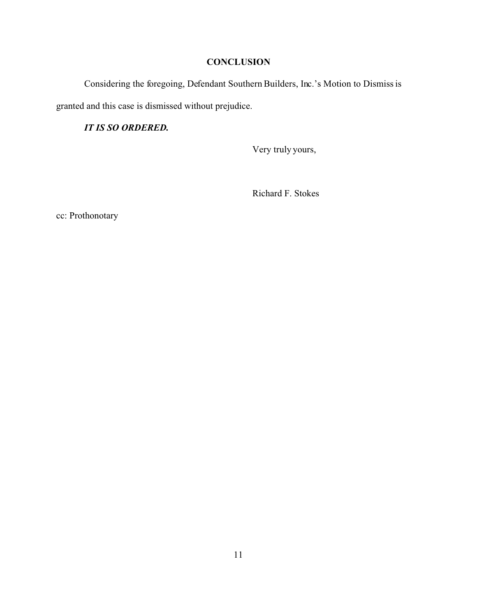# **CONCLUSION**

Considering the foregoing, Defendant Southern Builders, Inc.'s Motion to Dismiss is granted and this case is dismissed without prejudice.

*IT IS SO ORDERED.*

Very truly yours,

Richard F. Stokes

cc: Prothonotary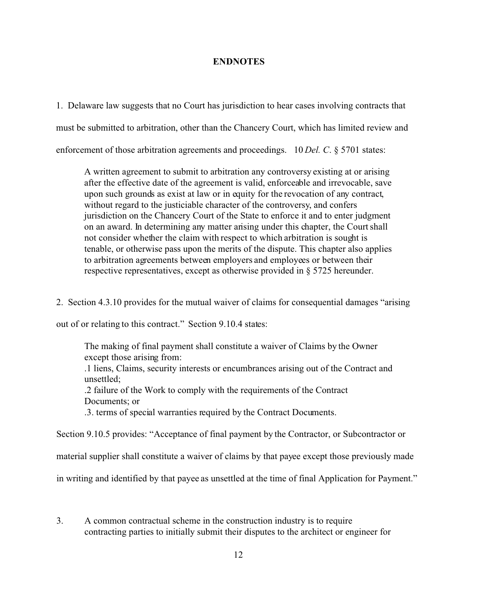## **ENDNOTES**

1. Delaware law suggests that no Court has jurisdiction to hear cases involving contracts that must be submitted to arbitration, other than the Chancery Court, which has limited review and enforcement of those arbitration agreements and proceedings. 10 *Del. C.* § 5701 states:

A written agreement to submit to arbitration any controversy existing at or arising after the effective date of the agreement is valid, enforceable and irrevocable, save upon such grounds as exist at law or in equity for the revocation of any contract, without regard to the justiciable character of the controversy, and confers jurisdiction on the Chancery Court of the State to enforce it and to enter judgment on an award. In determining any matter arising under this chapter, the Court shall not consider whether the claim with respect to which arbitration is sought is tenable, or otherwise pass upon the merits of the dispute. This chapter also applies to arbitration agreements between employers and employees or between their respective representatives, except as otherwise provided in § 5725 hereunder.

2. Section 4.3.10 provides for the mutual waiver of claims for consequential damages "arising

out of or relating to this contract." Section 9.10.4 states:

The making of final payment shall constitute a waiver of Claims by the Owner except those arising from:

.1 liens, Claims, security interests or encumbrances arising out of the Contract and unsettled;

.2 failure of the Work to comply with the requirements of the Contract Documents; or

.3. terms of special warranties required by the Contract Documents.

Section 9.10.5 provides: "Acceptance of final payment by the Contractor, or Subcontractor or

material supplier shall constitute a waiver of claims by that payee except those previously made

in writing and identified by that payee as unsettled at the time of final Application for Payment."

3. A common contractual scheme in the construction industry is to require contracting parties to initially submit their disputes to the architect or engineer for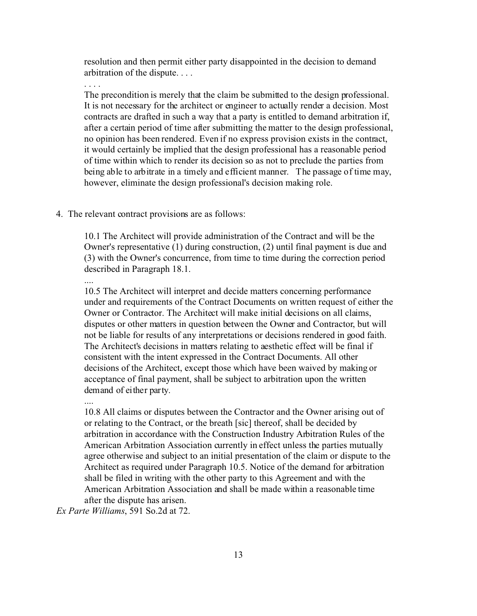resolution and then permit either party disappointed in the decision to demand arbitration of the dispute. . . .

. . . .

The precondition is merely that the claim be submitted to the design professional. It is not necessary for the architect or engineer to actually render a decision. Most contracts are drafted in such a way that a party is entitled to demand arbitration if, after a certain period of time after submitting the matter to the design professional, no opinion has been rendered. Even if no express provision exists in the contract, it would certainly be implied that the design professional has a reasonable period of time within which to render its decision so as not to preclude the parties from being able to arbitrate in a timely and efficient manner. The passage of time may, however, eliminate the design professional's decision making role.

### 4. The relevant contract provisions are as follows:

10.1 The Architect will provide administration of the Contract and will be the Owner's representative (1) during construction, (2) until final payment is due and (3) with the Owner's concurrence, from time to time during the correction period described in Paragraph 18.1.

....

10.5 The Architect will interpret and decide matters concerning performance under and requirements of the Contract Documents on written request of either the Owner or Contractor. The Architect will make initial decisions on all claims, disputes or other matters in question between the Owner and Contractor, but will not be liable for results of any interpretations or decisions rendered in good faith. The Architect's decisions in matters relating to aesthetic effect will be final if consistent with the intent expressed in the Contract Documents. All other decisions of the Architect, except those which have been waived by making or acceptance of final payment, shall be subject to arbitration upon the written demand of either party.

....

10.8 All claims or disputes between the Contractor and the Owner arising out of or relating to the Contract, or the breath [sic] thereof, shall be decided by arbitration in accordance with the Construction Industry Arbitration Rules of the American Arbitration Association currently in effect unless the parties mutually agree otherwise and subject to an initial presentation of the claim or dispute to the Architect as required under Paragraph 10.5. Notice of the demand for arbitration shall be filed in writing with the other party to this Agreement and with the American Arbitration Association and shall be made within a reasonable time after the dispute has arisen.

*Ex Parte Williams*, 591 So.2d at 72.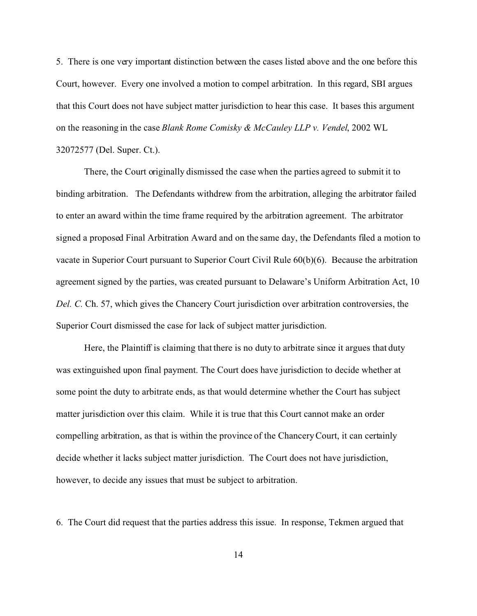5. There is one very important distinction between the cases listed above and the one before this Court, however. Every one involved a motion to compel arbitration. In this regard, SBI argues that this Court does not have subject matter jurisdiction to hear this case. It bases this argument on the reasoning in the case *Blank Rome Comisky & McCauley LLP v. Vendel*, 2002 WL 32072577 (Del. Super. Ct.).

There, the Court originally dismissed the case when the parties agreed to submit it to binding arbitration. The Defendants withdrew from the arbitration, alleging the arbitrator failed to enter an award within the time frame required by the arbitration agreement. The arbitrator signed a proposed Final Arbitration Award and on the same day, the Defendants filed a motion to vacate in Superior Court pursuant to Superior Court Civil Rule 60(b)(6). Because the arbitration agreement signed by the parties, was created pursuant to Delaware's Uniform Arbitration Act, 10 *Del. C.* Ch. 57, which gives the Chancery Court jurisdiction over arbitration controversies, the Superior Court dismissed the case for lack of subject matter jurisdiction.

Here, the Plaintiff is claiming that there is no duty to arbitrate since it argues that duty was extinguished upon final payment. The Court does have jurisdiction to decide whether at some point the duty to arbitrate ends, as that would determine whether the Court has subject matter jurisdiction over this claim. While it is true that this Court cannot make an order compelling arbitration, as that is within the province of the Chancery Court, it can certainly decide whether it lacks subject matter jurisdiction. The Court does not have jurisdiction, however, to decide any issues that must be subject to arbitration.

6. The Court did request that the parties address this issue. In response, Tekmen argued that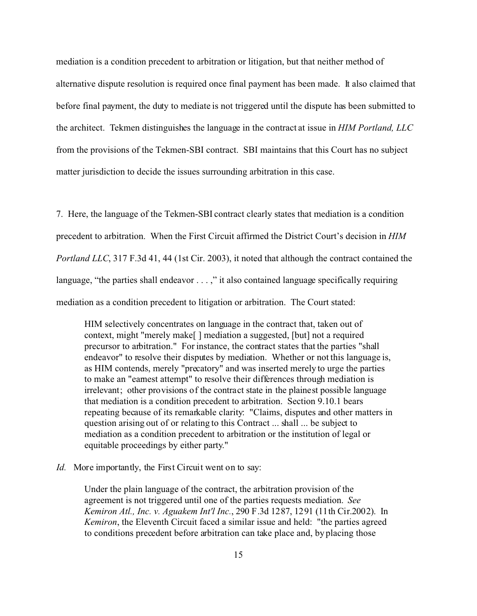mediation is a condition precedent to arbitration or litigation, but that neither method of alternative dispute resolution is required once final payment has been made. It also claimed that before final payment, the duty to mediate is not triggered until the dispute has been submitted to the architect. Tekmen distinguishes the language in the contract at issue in *HIM Portland, LLC* from the provisions of the Tekmen-SBI contract. SBI maintains that this Court has no subject matter jurisdiction to decide the issues surrounding arbitration in this case.

7. Here, the language of the Tekmen-SBI contract clearly states that mediation is a condition precedent to arbitration. When the First Circuit affirmed the District Court's decision in *HIM Portland LLC*, 317 F.3d 41, 44 (1st Cir. 2003), it noted that although the contract contained the language, "the parties shall endeavor  $\dots$ ," it also contained language specifically requiring mediation as a condition precedent to litigation or arbitration. The Court stated:

HIM selectively concentrates on language in the contract that, taken out of context, might "merely make[ ] mediation a suggested, [but] not a required precursor to arbitration." For instance, the contract states that the parties "shall endeavor" to resolve their disputes by mediation. Whether or not this language is, as HIM contends, merely "precatory" and was inserted merely to urge the parties to make an "earnest attempt" to resolve their differences through mediation is irrelevant; other provisions of the contract state in the plainest possible language that mediation is a condition precedent to arbitration. Section 9.10.1 bears repeating because of its remarkable clarity: "Claims, disputes and other matters in question arising out of or relating to this Contract ... shall ... be subject to mediation as a condition precedent to arbitration or the institution of legal or equitable proceedings by either party."

### *Id.* More importantly, the First Circuit went on to say:

Under the plain language of the contract, the arbitration provision of the agreement is not triggered until one of the parties requests mediation. *See Kemiron Atl., Inc. v. Aguakem Int'l Inc.*, 290 F.3d 1287, 1291 (11th Cir.2002). In *Kemiron*, the Eleventh Circuit faced a similar issue and held: "the parties agreed to conditions precedent before arbitration can take place and, by placing those